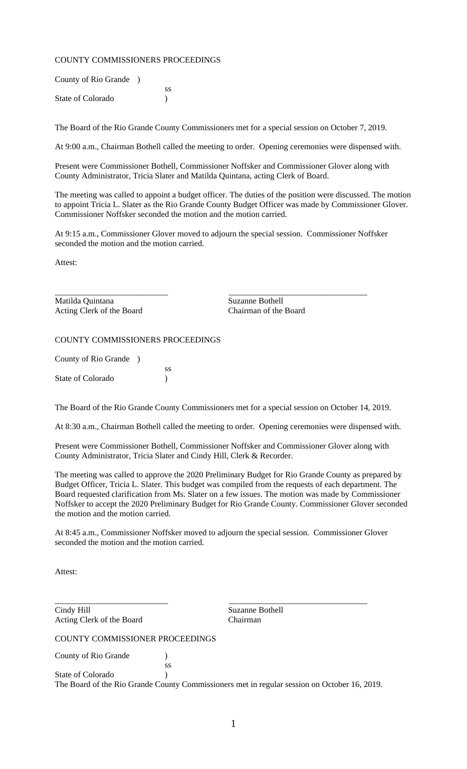## COUNTY COMMISSIONERS PROCEEDINGS

| County of Rio Grande ) |    |
|------------------------|----|
|                        | SS |
| State of Colorado      |    |

The Board of the Rio Grande County Commissioners met for a special session on October 7, 2019.

At 9:00 a.m., Chairman Bothell called the meeting to order. Opening ceremonies were dispensed with.

Present were Commissioner Bothell, Commissioner Noffsker and Commissioner Glover along with County Administrator, Tricia Slater and Matilda Quintana, acting Clerk of Board.

The meeting was called to appoint a budget officer. The duties of the position were discussed. The motion to appoint Tricia L. Slater as the Rio Grande County Budget Officer was made by Commissioner Glover. Commissioner Noffsker seconded the motion and the motion carried.

At 9:15 a.m., Commissioner Glover moved to adjourn the special session. Commissioner Noffsker seconded the motion and the motion carried.

\_\_\_\_\_\_\_\_\_\_\_\_\_\_\_\_\_\_\_\_\_\_\_\_\_\_\_ \_\_\_\_\_\_\_\_\_\_\_\_\_\_\_\_\_\_\_\_\_\_\_\_\_\_\_\_\_\_\_\_\_

Attest:

Matilda Quintana Suzanne Bothell Acting Clerk of the Board Chairman of the Board

COUNTY COMMISSIONERS PROCEEDINGS

County of Rio Grande )

ss State of Colorado (1992)

The Board of the Rio Grande County Commissioners met for a special session on October 14, 2019.

At 8:30 a.m., Chairman Bothell called the meeting to order. Opening ceremonies were dispensed with.

Present were Commissioner Bothell, Commissioner Noffsker and Commissioner Glover along with County Administrator, Tricia Slater and Cindy Hill, Clerk & Recorder.

The meeting was called to approve the 2020 Preliminary Budget for Rio Grande County as prepared by Budget Officer, Tricia L. Slater. This budget was compiled from the requests of each department. The Board requested clarification from Ms. Slater on a few issues. The motion was made by Commissioner Noffsker to accept the 2020 Preliminary Budget for Rio Grande County. Commissioner Glover seconded the motion and the motion carried.

At 8:45 a.m., Commissioner Noffsker moved to adjourn the special session. Commissioner Glover seconded the motion and the motion carried.

Attest:

\_\_\_\_\_\_\_\_\_\_\_\_\_\_\_\_\_\_\_\_\_\_\_\_\_\_\_ \_\_\_\_\_\_\_\_\_\_\_\_\_\_\_\_\_\_\_\_\_\_\_\_\_\_\_\_\_\_\_\_\_ Cindy Hill Suzanne Bothell Acting Clerk of the Board Chairman

COUNTY COMMISSIONER PROCEEDINGS

ss

County of Rio Grande (1)

State of Colorado (1992) The Board of the Rio Grande County Commissioners met in regular session on October 16, 2019.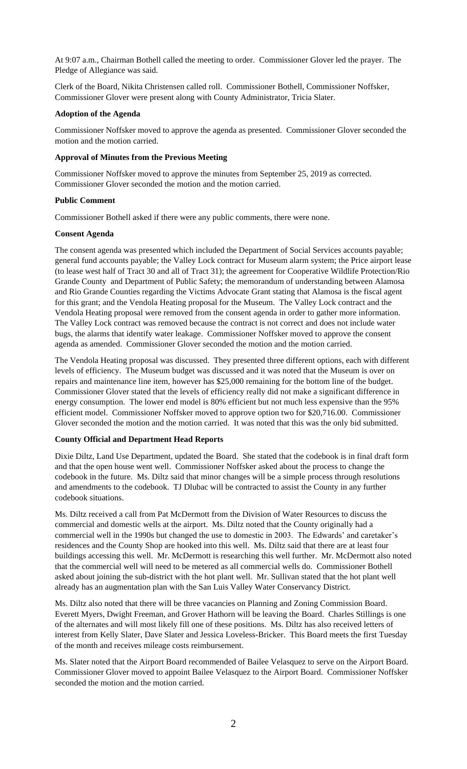At 9:07 a.m., Chairman Bothell called the meeting to order. Commissioner Glover led the prayer. The Pledge of Allegiance was said.

Clerk of the Board, Nikita Christensen called roll. Commissioner Bothell, Commissioner Noffsker, Commissioner Glover were present along with County Administrator, Tricia Slater.

## **Adoption of the Agenda**

Commissioner Noffsker moved to approve the agenda as presented. Commissioner Glover seconded the motion and the motion carried.

## **Approval of Minutes from the Previous Meeting**

Commissioner Noffsker moved to approve the minutes from September 25, 2019 as corrected. Commissioner Glover seconded the motion and the motion carried.

## **Public Comment**

Commissioner Bothell asked if there were any public comments, there were none.

## **Consent Agenda**

The consent agenda was presented which included the Department of Social Services accounts payable; general fund accounts payable; the Valley Lock contract for Museum alarm system; the Price airport lease (to lease west half of Tract 30 and all of Tract 31); the agreement for Cooperative Wildlife Protection/Rio Grande County and Department of Public Safety; the memorandum of understanding between Alamosa and Rio Grande Counties regarding the Victims Advocate Grant stating that Alamosa is the fiscal agent for this grant; and the Vendola Heating proposal for the Museum. The Valley Lock contract and the Vendola Heating proposal were removed from the consent agenda in order to gather more information. The Valley Lock contract was removed because the contract is not correct and does not include water bugs, the alarms that identify water leakage. Commissioner Noffsker moved to approve the consent agenda as amended. Commissioner Glover seconded the motion and the motion carried.

The Vendola Heating proposal was discussed. They presented three different options, each with different levels of efficiency. The Museum budget was discussed and it was noted that the Museum is over on repairs and maintenance line item, however has \$25,000 remaining for the bottom line of the budget. Commissioner Glover stated that the levels of efficiency really did not make a significant difference in energy consumption. The lower end model is 80% efficient but not much less expensive than the 95% efficient model. Commissioner Noffsker moved to approve option two for \$20,716.00. Commissioner Glover seconded the motion and the motion carried. It was noted that this was the only bid submitted.

## **County Official and Department Head Reports**

Dixie Diltz, Land Use Department, updated the Board. She stated that the codebook is in final draft form and that the open house went well. Commissioner Noffsker asked about the process to change the codebook in the future. Ms. Diltz said that minor changes will be a simple process through resolutions and amendments to the codebook. TJ Dlubac will be contracted to assist the County in any further codebook situations.

Ms. Diltz received a call from Pat McDermott from the Division of Water Resources to discuss the commercial and domestic wells at the airport. Ms. Diltz noted that the County originally had a commercial well in the 1990s but changed the use to domestic in 2003. The Edwards' and caretaker's residences and the County Shop are hooked into this well. Ms. Diltz said that there are at least four buildings accessing this well. Mr. McDermott is researching this well further. Mr. McDermott also noted that the commercial well will need to be metered as all commercial wells do. Commissioner Bothell asked about joining the sub-district with the hot plant well. Mr. Sullivan stated that the hot plant well already has an augmentation plan with the San Luis Valley Water Conservancy District.

Ms. Diltz also noted that there will be three vacancies on Planning and Zoning Commission Board. Everett Myers, Dwight Freeman, and Grover Hathorn will be leaving the Board. Charles Stillings is one of the alternates and will most likely fill one of these positions. Ms. Diltz has also received letters of interest from Kelly Slater, Dave Slater and Jessica Loveless-Bricker. This Board meets the first Tuesday of the month and receives mileage costs reimbursement.

Ms. Slater noted that the Airport Board recommended of Bailee Velasquez to serve on the Airport Board. Commissioner Glover moved to appoint Bailee Velasquez to the Airport Board. Commissioner Noffsker seconded the motion and the motion carried.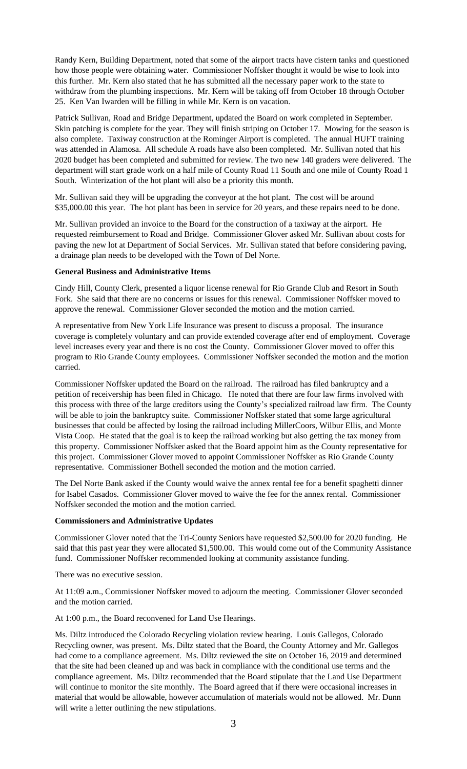Randy Kern, Building Department, noted that some of the airport tracts have cistern tanks and questioned how those people were obtaining water. Commissioner Noffsker thought it would be wise to look into this further. Mr. Kern also stated that he has submitted all the necessary paper work to the state to withdraw from the plumbing inspections. Mr. Kern will be taking off from October 18 through October 25. Ken Van Iwarden will be filling in while Mr. Kern is on vacation.

Patrick Sullivan, Road and Bridge Department, updated the Board on work completed in September. Skin patching is complete for the year. They will finish striping on October 17. Mowing for the season is also complete. Taxiway construction at the Rominger Airport is completed. The annual HUFT training was attended in Alamosa. All schedule A roads have also been completed. Mr. Sullivan noted that his 2020 budget has been completed and submitted for review. The two new 140 graders were delivered. The department will start grade work on a half mile of County Road 11 South and one mile of County Road 1 South. Winterization of the hot plant will also be a priority this month.

Mr. Sullivan said they will be upgrading the conveyor at the hot plant. The cost will be around \$35,000.00 this year. The hot plant has been in service for 20 years, and these repairs need to be done.

Mr. Sullivan provided an invoice to the Board for the construction of a taxiway at the airport. He requested reimbursement to Road and Bridge. Commissioner Glover asked Mr. Sullivan about costs for paving the new lot at Department of Social Services. Mr. Sullivan stated that before considering paving, a drainage plan needs to be developed with the Town of Del Norte.

### **General Business and Administrative Items**

Cindy Hill, County Clerk, presented a liquor license renewal for Rio Grande Club and Resort in South Fork. She said that there are no concerns or issues for this renewal. Commissioner Noffsker moved to approve the renewal. Commissioner Glover seconded the motion and the motion carried.

A representative from New York Life Insurance was present to discuss a proposal. The insurance coverage is completely voluntary and can provide extended coverage after end of employment. Coverage level increases every year and there is no cost the County. Commissioner Glover moved to offer this program to Rio Grande County employees. Commissioner Noffsker seconded the motion and the motion carried.

Commissioner Noffsker updated the Board on the railroad. The railroad has filed bankruptcy and a petition of receivership has been filed in Chicago. He noted that there are four law firms involved with this process with three of the large creditors using the County's specialized railroad law firm. The County will be able to join the bankruptcy suite. Commissioner Noffsker stated that some large agricultural businesses that could be affected by losing the railroad including MillerCoors, Wilbur Ellis, and Monte Vista Coop. He stated that the goal is to keep the railroad working but also getting the tax money from this property. Commissioner Noffsker asked that the Board appoint him as the County representative for this project. Commissioner Glover moved to appoint Commissioner Noffsker as Rio Grande County representative. Commissioner Bothell seconded the motion and the motion carried.

The Del Norte Bank asked if the County would waive the annex rental fee for a benefit spaghetti dinner for Isabel Casados. Commissioner Glover moved to waive the fee for the annex rental. Commissioner Noffsker seconded the motion and the motion carried.

#### **Commissioners and Administrative Updates**

Commissioner Glover noted that the Tri-County Seniors have requested \$2,500.00 for 2020 funding. He said that this past year they were allocated \$1,500.00. This would come out of the Community Assistance fund. Commissioner Noffsker recommended looking at community assistance funding.

There was no executive session.

At 11:09 a.m., Commissioner Noffsker moved to adjourn the meeting. Commissioner Glover seconded and the motion carried.

At 1:00 p.m., the Board reconvened for Land Use Hearings.

Ms. Diltz introduced the Colorado Recycling violation review hearing. Louis Gallegos, Colorado Recycling owner, was present. Ms. Diltz stated that the Board, the County Attorney and Mr. Gallegos had come to a compliance agreement. Ms. Diltz reviewed the site on October 16, 2019 and determined that the site had been cleaned up and was back in compliance with the conditional use terms and the compliance agreement. Ms. Diltz recommended that the Board stipulate that the Land Use Department will continue to monitor the site monthly. The Board agreed that if there were occasional increases in material that would be allowable, however accumulation of materials would not be allowed. Mr. Dunn will write a letter outlining the new stipulations.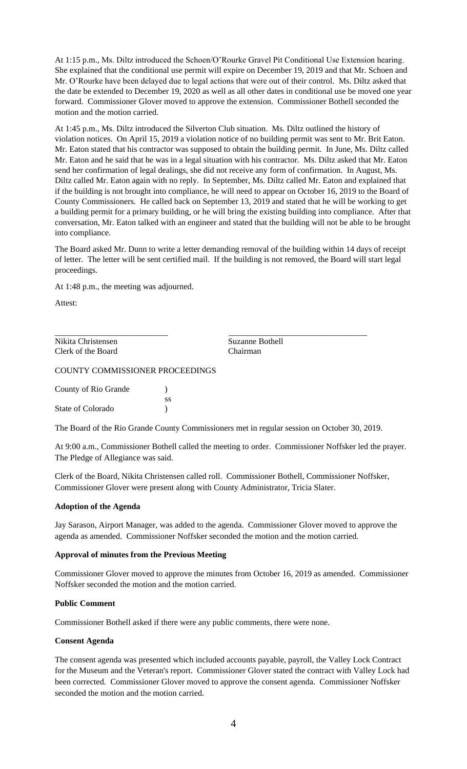At 1:15 p.m., Ms. Diltz introduced the Schoen/O'Rourke Gravel Pit Conditional Use Extension hearing. She explained that the conditional use permit will expire on December 19, 2019 and that Mr. Schoen and Mr. O'Rourke have been delayed due to legal actions that were out of their control. Ms. Diltz asked that the date be extended to December 19, 2020 as well as all other dates in conditional use be moved one year forward. Commissioner Glover moved to approve the extension. Commissioner Bothell seconded the motion and the motion carried.

At 1:45 p.m., Ms. Diltz introduced the Silverton Club situation. Ms. Diltz outlined the history of violation notices. On April 15, 2019 a violation notice of no building permit was sent to Mr. Brit Eaton. Mr. Eaton stated that his contractor was supposed to obtain the building permit. In June, Ms. Diltz called Mr. Eaton and he said that he was in a legal situation with his contractor. Ms. Diltz asked that Mr. Eaton send her confirmation of legal dealings, she did not receive any form of confirmation. In August, Ms. Diltz called Mr. Eaton again with no reply. In September, Ms. Diltz called Mr. Eaton and explained that if the building is not brought into compliance, he will need to appear on October 16, 2019 to the Board of County Commissioners. He called back on September 13, 2019 and stated that he will be working to get a building permit for a primary building, or he will bring the existing building into compliance. After that conversation, Mr. Eaton talked with an engineer and stated that the building will not be able to be brought into compliance.

The Board asked Mr. Dunn to write a letter demanding removal of the building within 14 days of receipt of letter. The letter will be sent certified mail. If the building is not removed, the Board will start legal proceedings.

At 1:48 p.m., the meeting was adjourned.

Attest:

Nikita Christensen Suzanne Bothell Clerk of the Board Chairman

\_\_\_\_\_\_\_\_\_\_\_\_\_\_\_\_\_\_\_\_\_\_\_\_\_\_\_ \_\_\_\_\_\_\_\_\_\_\_\_\_\_\_\_\_\_\_\_\_\_\_\_\_\_\_\_\_\_\_\_\_

## COUNTY COMMISSIONER PROCEEDINGS

| County of Rio Grande |    |
|----------------------|----|
|                      | SS |
| State of Colorado    |    |

The Board of the Rio Grande County Commissioners met in regular session on October 30, 2019.

At 9:00 a.m., Commissioner Bothell called the meeting to order. Commissioner Noffsker led the prayer. The Pledge of Allegiance was said.

Clerk of the Board, Nikita Christensen called roll. Commissioner Bothell, Commissioner Noffsker, Commissioner Glover were present along with County Administrator, Tricia Slater.

## **Adoption of the Agenda**

Jay Sarason, Airport Manager, was added to the agenda. Commissioner Glover moved to approve the agenda as amended. Commissioner Noffsker seconded the motion and the motion carried.

#### **Approval of minutes from the Previous Meeting**

Commissioner Glover moved to approve the minutes from October 16, 2019 as amended. Commissioner Noffsker seconded the motion and the motion carried.

## **Public Comment**

Commissioner Bothell asked if there were any public comments, there were none.

## **Consent Agenda**

The consent agenda was presented which included accounts payable, payroll, the Valley Lock Contract for the Museum and the Veteran's report. Commissioner Glover stated the contract with Valley Lock had been corrected. Commissioner Glover moved to approve the consent agenda. Commissioner Noffsker seconded the motion and the motion carried.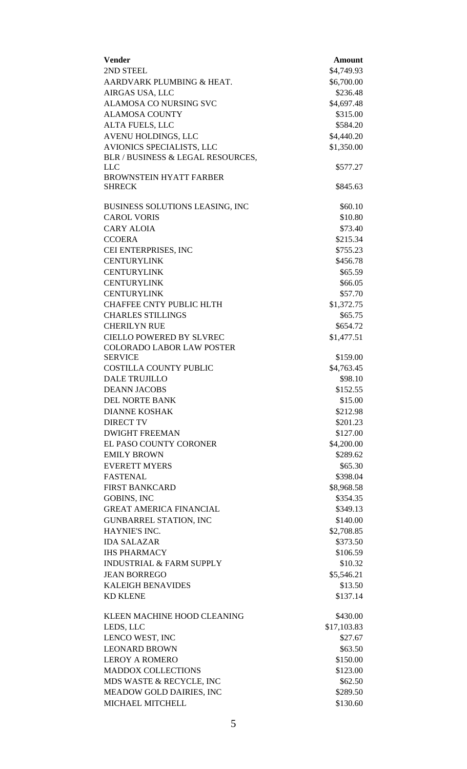| <b>Vender</b>                                                       | <b>Amount</b>            |
|---------------------------------------------------------------------|--------------------------|
| 2ND STEEL                                                           | \$4,749.93               |
| AARDVARK PLUMBING & HEAT.                                           | \$6,700.00               |
| AIRGAS USA, LLC                                                     | \$236.48                 |
| <b>ALAMOSA CO NURSING SVC</b>                                       | \$4,697.48               |
| <b>ALAMOSA COUNTY</b>                                               | \$315.00                 |
| ALTA FUELS, LLC                                                     | \$584.20                 |
| AVENU HOLDINGS, LLC<br>AVIONICS SPECIALISTS, LLC                    | \$4,440.20<br>\$1,350.00 |
| BLR / BUSINESS & LEGAL RESOURCES,                                   |                          |
| <b>LLC</b>                                                          | \$577.27                 |
| <b>BROWNSTEIN HYATT FARBER</b>                                      |                          |
| <b>SHRECK</b>                                                       | \$845.63                 |
| BUSINESS SOLUTIONS LEASING, INC                                     | \$60.10                  |
| <b>CAROL VORIS</b>                                                  | \$10.80                  |
| <b>CARY ALOIA</b>                                                   | \$73.40                  |
| <b>CCOERA</b>                                                       | \$215.34                 |
| CEI ENTERPRISES, INC                                                | \$755.23                 |
| <b>CENTURYLINK</b>                                                  | \$456.78                 |
| <b>CENTURYLINK</b>                                                  | \$65.59                  |
| <b>CENTURYLINK</b>                                                  | \$66.05                  |
| <b>CENTURYLINK</b>                                                  | \$57.70                  |
| <b>CHAFFEE CNTY PUBLIC HLTH</b>                                     | \$1,372.75               |
| <b>CHARLES STILLINGS</b>                                            | \$65.75                  |
| <b>CHERILYN RUE</b>                                                 | \$654.72                 |
| <b>CIELLO POWERED BY SLVREC</b><br><b>COLORADO LABOR LAW POSTER</b> | \$1,477.51               |
| <b>SERVICE</b>                                                      | \$159.00                 |
| <b>COSTILLA COUNTY PUBLIC</b>                                       | \$4,763.45               |
| <b>DALE TRUJILLO</b>                                                | \$98.10                  |
| <b>DEANN JACOBS</b>                                                 | \$152.55                 |
| <b>DEL NORTE BANK</b>                                               | \$15.00                  |
| <b>DIANNE KOSHAK</b>                                                | \$212.98                 |
| <b>DIRECT TV</b>                                                    | \$201.23                 |
| <b>DWIGHT FREEMAN</b>                                               | \$127.00                 |
| EL PASO COUNTY CORONER                                              | \$4,200.00               |
| <b>EMILY BROWN</b>                                                  | \$289.62                 |
| <b>EVERETT MYERS</b>                                                | \$65.30                  |
| <b>FASTENAL</b>                                                     | \$398.04                 |
| <b>FIRST BANKCARD</b>                                               | \$8,968.58               |
| <b>GOBINS, INC</b>                                                  | \$354.35                 |
| <b>GREAT AMERICA FINANCIAL</b>                                      | \$349.13                 |
| <b>GUNBARREL STATION, INC</b><br>HAYNIE'S INC.                      | \$140.00                 |
| <b>IDA SALAZAR</b>                                                  | \$2,708.85<br>\$373.50   |
| <b>IHS PHARMACY</b>                                                 | \$106.59                 |
| <b>INDUSTRIAL &amp; FARM SUPPLY</b>                                 | \$10.32                  |
| <b>JEAN BORREGO</b>                                                 | \$5,546.21               |
| <b>KALEIGH BENAVIDES</b>                                            | \$13.50                  |
| <b>KD KLENE</b>                                                     | \$137.14                 |
| KLEEN MACHINE HOOD CLEANING                                         | \$430.00                 |
| LEDS, LLC                                                           | \$17,103.83              |
| LENCO WEST, INC                                                     | \$27.67                  |
| <b>LEONARD BROWN</b>                                                | \$63.50                  |
| <b>LEROY A ROMERO</b>                                               | \$150.00                 |
| <b>MADDOX COLLECTIONS</b>                                           | \$123.00                 |
| MDS WASTE & RECYCLE, INC                                            | \$62.50                  |
| MEADOW GOLD DAIRIES, INC                                            | \$289.50                 |
| MICHAEL MITCHELL                                                    | \$130.60                 |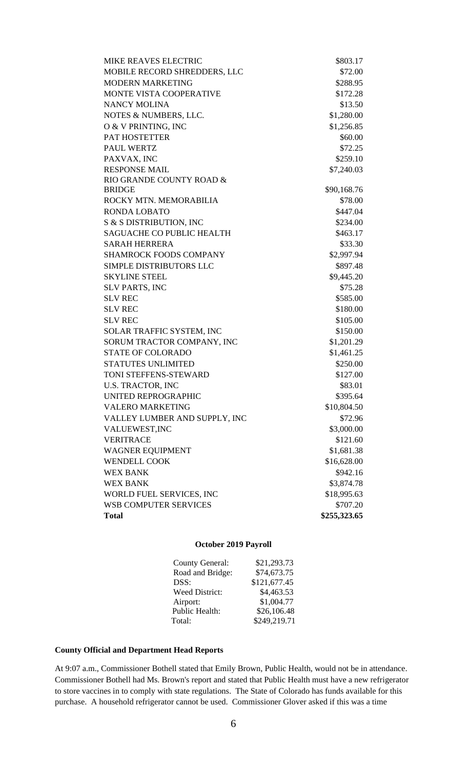| <b>MIKE REAVES ELECTRIC</b>      | \$803.17     |
|----------------------------------|--------------|
| MOBILE RECORD SHREDDERS, LLC     | \$72.00      |
| <b>MODERN MARKETING</b>          | \$288.95     |
| <b>MONTE VISTA COOPERATIVE</b>   | \$172.28     |
| <b>NANCY MOLINA</b>              | \$13.50      |
| NOTES & NUMBERS, LLC.            | \$1,280.00   |
| O & V PRINTING, INC              | \$1,256.85   |
| PAT HOSTETTER                    | \$60.00      |
| <b>PAUL WERTZ</b>                | \$72.25      |
| PAXVAX, INC                      | \$259.10     |
| <b>RESPONSE MAIL</b>             | \$7,240.03   |
| RIO GRANDE COUNTY ROAD &         |              |
| <b>BRIDGE</b>                    | \$90,168.76  |
| ROCKY MTN. MEMORABILIA           | \$78.00      |
| RONDA LOBATO                     | \$447.04     |
| S & S DISTRIBUTION, INC          | \$234.00     |
| <b>SAGUACHE CO PUBLIC HEALTH</b> | \$463.17     |
| <b>SARAH HERRERA</b>             | \$33.30      |
| <b>SHAMROCK FOODS COMPANY</b>    | \$2,997.94   |
| <b>SIMPLE DISTRIBUTORS LLC</b>   | \$897.48     |
| <b>SKYLINE STEEL</b>             | \$9,445.20   |
| <b>SLV PARTS, INC</b>            | \$75.28      |
| <b>SLV REC</b>                   | \$585.00     |
| <b>SLV REC</b>                   | \$180.00     |
| <b>SLV REC</b>                   | \$105.00     |
| SOLAR TRAFFIC SYSTEM, INC        | \$150.00     |
| SORUM TRACTOR COMPANY, INC       | \$1,201.29   |
| <b>STATE OF COLORADO</b>         | \$1,461.25   |
| <b>STATUTES UNLIMITED</b>        | \$250.00     |
| TONI STEFFENS-STEWARD            | \$127.00     |
| <b>U.S. TRACTOR, INC</b>         | \$83.01      |
| <b>UNITED REPROGRAPHIC</b>       | \$395.64     |
| <b>VALERO MARKETING</b>          | \$10,804.50  |
| VALLEY LUMBER AND SUPPLY, INC    | \$72.96      |
| VALUEWEST, INC                   | \$3,000.00   |
| <b>VERITRACE</b>                 | \$121.60     |
| WAGNER EQUIPMENT                 | \$1,681.38   |
| <b>WENDELL COOK</b>              | \$16,628.00  |
| <b>WEX BANK</b>                  | \$942.16     |
| <b>WEX BANK</b>                  | \$3,874.78   |
| WORLD FUEL SERVICES, INC         | \$18,995.63  |
| WSB COMPUTER SERVICES            | \$707.20     |
| <b>Total</b>                     | \$255,323.65 |

## **October 2019 Payroll**

| <b>County General:</b> | \$21,293.73  |
|------------------------|--------------|
| Road and Bridge:       | \$74,673.75  |
| DSS:                   | \$121,677.45 |
| Weed District:         | \$4,463.53   |
| Airport:               | \$1,004.77   |
| Public Health:         | \$26,106.48  |
| Total:                 | \$249,219.71 |
|                        |              |

# **County Official and Department Head Reports**

At 9:07 a.m., Commissioner Bothell stated that Emily Brown, Public Health, would not be in attendance. Commissioner Bothell had Ms. Brown's report and stated that Public Health must have a new refrigerator to store vaccines in to comply with state regulations. The State of Colorado has funds available for this purchase. A household refrigerator cannot be used. Commissioner Glover asked if this was a time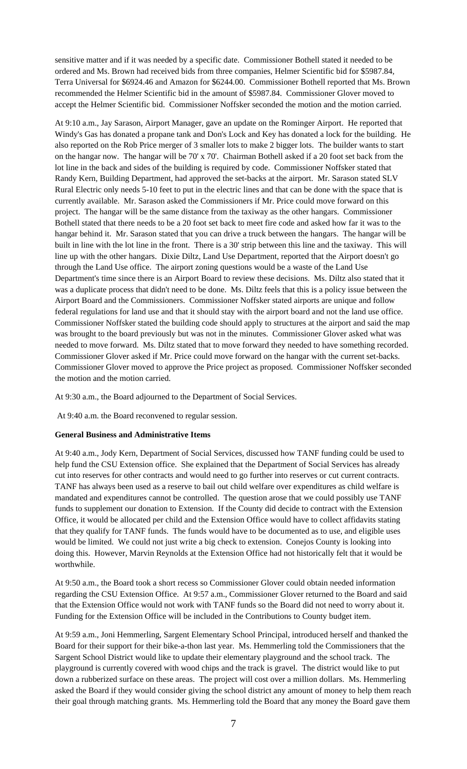sensitive matter and if it was needed by a specific date. Commissioner Bothell stated it needed to be ordered and Ms. Brown had received bids from three companies, Helmer Scientific bid for \$5987.84, Terra Universal for \$6924.46 and Amazon for \$6244.00. Commissioner Bothell reported that Ms. Brown recommended the Helmer Scientific bid in the amount of \$5987.84. Commissioner Glover moved to accept the Helmer Scientific bid. Commissioner Noffsker seconded the motion and the motion carried.

At 9:10 a.m., Jay Sarason, Airport Manager, gave an update on the Rominger Airport. He reported that Windy's Gas has donated a propane tank and Don's Lock and Key has donated a lock for the building. He also reported on the Rob Price merger of 3 smaller lots to make 2 bigger lots. The builder wants to start on the hangar now. The hangar will be 70' x 70'. Chairman Bothell asked if a 20 foot set back from the lot line in the back and sides of the building is required by code. Commissioner Noffsker stated that Randy Kern, Building Department, had approved the set-backs at the airport. Mr. Sarason stated SLV Rural Electric only needs 5-10 feet to put in the electric lines and that can be done with the space that is currently available. Mr. Sarason asked the Commissioners if Mr. Price could move forward on this project. The hangar will be the same distance from the taxiway as the other hangars. Commissioner Bothell stated that there needs to be a 20 foot set back to meet fire code and asked how far it was to the hangar behind it. Mr. Sarason stated that you can drive a truck between the hangars. The hangar will be built in line with the lot line in the front. There is a 30' strip between this line and the taxiway. This will line up with the other hangars. Dixie Diltz, Land Use Department, reported that the Airport doesn't go through the Land Use office. The airport zoning questions would be a waste of the Land Use Department's time since there is an Airport Board to review these decisions. Ms. Diltz also stated that it was a duplicate process that didn't need to be done. Ms. Diltz feels that this is a policy issue between the Airport Board and the Commissioners. Commissioner Noffsker stated airports are unique and follow federal regulations for land use and that it should stay with the airport board and not the land use office. Commissioner Noffsker stated the building code should apply to structures at the airport and said the map was brought to the board previously but was not in the minutes. Commissioner Glover asked what was needed to move forward. Ms. Diltz stated that to move forward they needed to have something recorded. Commissioner Glover asked if Mr. Price could move forward on the hangar with the current set-backs. Commissioner Glover moved to approve the Price project as proposed. Commissioner Noffsker seconded the motion and the motion carried.

At 9:30 a.m., the Board adjourned to the Department of Social Services.

At 9:40 a.m. the Board reconvened to regular session.

## **General Business and Administrative Items**

At 9:40 a.m., Jody Kern, Department of Social Services, discussed how TANF funding could be used to help fund the CSU Extension office. She explained that the Department of Social Services has already cut into reserves for other contracts and would need to go further into reserves or cut current contracts. TANF has always been used as a reserve to bail out child welfare over expenditures as child welfare is mandated and expenditures cannot be controlled. The question arose that we could possibly use TANF funds to supplement our donation to Extension. If the County did decide to contract with the Extension Office, it would be allocated per child and the Extension Office would have to collect affidavits stating that they qualify for TANF funds. The funds would have to be documented as to use, and eligible uses would be limited. We could not just write a big check to extension. Conejos County is looking into doing this. However, Marvin Reynolds at the Extension Office had not historically felt that it would be worthwhile.

At 9:50 a.m., the Board took a short recess so Commissioner Glover could obtain needed information regarding the CSU Extension Office. At 9:57 a.m., Commissioner Glover returned to the Board and said that the Extension Office would not work with TANF funds so the Board did not need to worry about it. Funding for the Extension Office will be included in the Contributions to County budget item.

At 9:59 a.m., Joni Hemmerling, Sargent Elementary School Principal, introduced herself and thanked the Board for their support for their bike-a-thon last year. Ms. Hemmerling told the Commissioners that the Sargent School District would like to update their elementary playground and the school track. The playground is currently covered with wood chips and the track is gravel. The district would like to put down a rubberized surface on these areas. The project will cost over a million dollars. Ms. Hemmerling asked the Board if they would consider giving the school district any amount of money to help them reach their goal through matching grants. Ms. Hemmerling told the Board that any money the Board gave them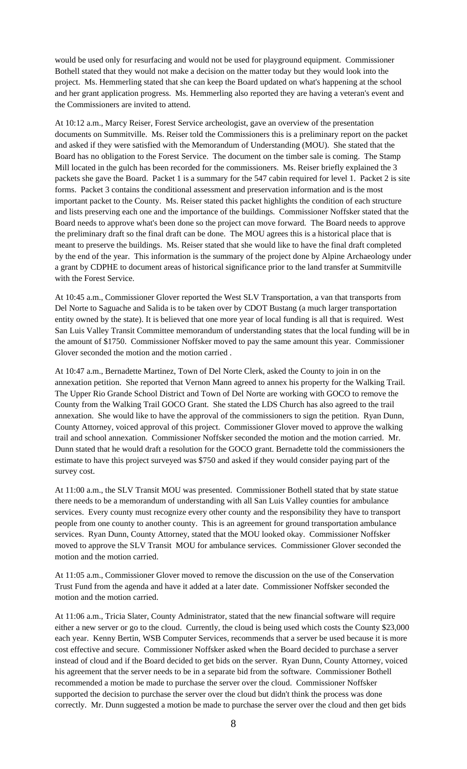would be used only for resurfacing and would not be used for playground equipment. Commissioner Bothell stated that they would not make a decision on the matter today but they would look into the project. Ms. Hemmerling stated that she can keep the Board updated on what's happening at the school and her grant application progress. Ms. Hemmerling also reported they are having a veteran's event and the Commissioners are invited to attend.

At 10:12 a.m., Marcy Reiser, Forest Service archeologist, gave an overview of the presentation documents on Summitville. Ms. Reiser told the Commissioners this is a preliminary report on the packet and asked if they were satisfied with the Memorandum of Understanding (MOU). She stated that the Board has no obligation to the Forest Service. The document on the timber sale is coming. The Stamp Mill located in the gulch has been recorded for the commissioners. Ms. Reiser briefly explained the 3 packets she gave the Board. Packet 1 is a summary for the 547 cabin required for level 1. Packet 2 is site forms. Packet 3 contains the conditional assessment and preservation information and is the most important packet to the County. Ms. Reiser stated this packet highlights the condition of each structure and lists preserving each one and the importance of the buildings. Commissioner Noffsker stated that the Board needs to approve what's been done so the project can move forward. The Board needs to approve the preliminary draft so the final draft can be done. The MOU agrees this is a historical place that is meant to preserve the buildings. Ms. Reiser stated that she would like to have the final draft completed by the end of the year. This information is the summary of the project done by Alpine Archaeology under a grant by CDPHE to document areas of historical significance prior to the land transfer at Summitville with the Forest Service.

At 10:45 a.m., Commissioner Glover reported the West SLV Transportation, a van that transports from Del Norte to Saguache and Salida is to be taken over by CDOT Bustang (a much larger transportation entity owned by the state). It is believed that one more year of local funding is all that is required. West San Luis Valley Transit Committee memorandum of understanding states that the local funding will be in the amount of \$1750. Commissioner Noffsker moved to pay the same amount this year. Commissioner Glover seconded the motion and the motion carried .

At 10:47 a.m., Bernadette Martinez, Town of Del Norte Clerk, asked the County to join in on the annexation petition. She reported that Vernon Mann agreed to annex his property for the Walking Trail. The Upper Rio Grande School District and Town of Del Norte are working with GOCO to remove the County from the Walking Trail GOCO Grant. She stated the LDS Church has also agreed to the trail annexation. She would like to have the approval of the commissioners to sign the petition. Ryan Dunn, County Attorney, voiced approval of this project. Commissioner Glover moved to approve the walking trail and school annexation. Commissioner Noffsker seconded the motion and the motion carried. Mr. Dunn stated that he would draft a resolution for the GOCO grant. Bernadette told the commissioners the estimate to have this project surveyed was \$750 and asked if they would consider paying part of the survey cost.

At 11:00 a.m., the SLV Transit MOU was presented. Commissioner Bothell stated that by state statue there needs to be a memorandum of understanding with all San Luis Valley counties for ambulance services. Every county must recognize every other county and the responsibility they have to transport people from one county to another county. This is an agreement for ground transportation ambulance services. Ryan Dunn, County Attorney, stated that the MOU looked okay. Commissioner Noffsker moved to approve the SLV Transit MOU for ambulance services. Commissioner Glover seconded the motion and the motion carried.

At 11:05 a.m., Commissioner Glover moved to remove the discussion on the use of the Conservation Trust Fund from the agenda and have it added at a later date. Commissioner Noffsker seconded the motion and the motion carried.

At 11:06 a.m., Tricia Slater, County Administrator, stated that the new financial software will require either a new server or go to the cloud. Currently, the cloud is being used which costs the County \$23,000 each year. Kenny Bertin, WSB Computer Services, recommends that a server be used because it is more cost effective and secure. Commissioner Noffsker asked when the Board decided to purchase a server instead of cloud and if the Board decided to get bids on the server. Ryan Dunn, County Attorney, voiced his agreement that the server needs to be in a separate bid from the software. Commissioner Bothell recommended a motion be made to purchase the server over the cloud. Commissioner Noffsker supported the decision to purchase the server over the cloud but didn't think the process was done correctly. Mr. Dunn suggested a motion be made to purchase the server over the cloud and then get bids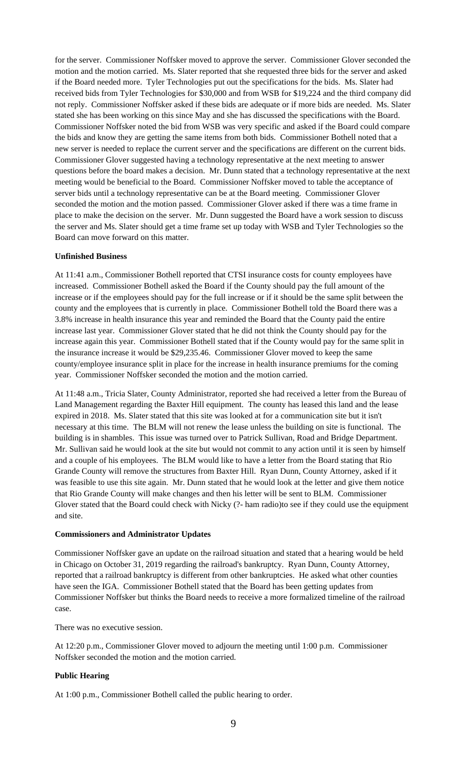for the server. Commissioner Noffsker moved to approve the server. Commissioner Glover seconded the motion and the motion carried. Ms. Slater reported that she requested three bids for the server and asked if the Board needed more. Tyler Technologies put out the specifications for the bids. Ms. Slater had received bids from Tyler Technologies for \$30,000 and from WSB for \$19,224 and the third company did not reply. Commissioner Noffsker asked if these bids are adequate or if more bids are needed. Ms. Slater stated she has been working on this since May and she has discussed the specifications with the Board. Commissioner Noffsker noted the bid from WSB was very specific and asked if the Board could compare the bids and know they are getting the same items from both bids. Commissioner Bothell noted that a new server is needed to replace the current server and the specifications are different on the current bids. Commissioner Glover suggested having a technology representative at the next meeting to answer questions before the board makes a decision. Mr. Dunn stated that a technology representative at the next meeting would be beneficial to the Board. Commissioner Noffsker moved to table the acceptance of server bids until a technology representative can be at the Board meeting. Commissioner Glover seconded the motion and the motion passed. Commissioner Glover asked if there was a time frame in place to make the decision on the server. Mr. Dunn suggested the Board have a work session to discuss the server and Ms. Slater should get a time frame set up today with WSB and Tyler Technologies so the Board can move forward on this matter.

## **Unfinished Business**

At 11:41 a.m., Commissioner Bothell reported that CTSI insurance costs for county employees have increased. Commissioner Bothell asked the Board if the County should pay the full amount of the increase or if the employees should pay for the full increase or if it should be the same split between the county and the employees that is currently in place. Commissioner Bothell told the Board there was a 3.8% increase in health insurance this year and reminded the Board that the County paid the entire increase last year. Commissioner Glover stated that he did not think the County should pay for the increase again this year. Commissioner Bothell stated that if the County would pay for the same split in the insurance increase it would be \$29,235.46. Commissioner Glover moved to keep the same county/employee insurance split in place for the increase in health insurance premiums for the coming year. Commissioner Noffsker seconded the motion and the motion carried.

At 11:48 a.m., Tricia Slater, County Administrator, reported she had received a letter from the Bureau of Land Management regarding the Baxter Hill equipment. The county has leased this land and the lease expired in 2018. Ms. Slater stated that this site was looked at for a communication site but it isn't necessary at this time. The BLM will not renew the lease unless the building on site is functional. The building is in shambles. This issue was turned over to Patrick Sullivan, Road and Bridge Department. Mr. Sullivan said he would look at the site but would not commit to any action until it is seen by himself and a couple of his employees. The BLM would like to have a letter from the Board stating that Rio Grande County will remove the structures from Baxter Hill. Ryan Dunn, County Attorney, asked if it was feasible to use this site again. Mr. Dunn stated that he would look at the letter and give them notice that Rio Grande County will make changes and then his letter will be sent to BLM. Commissioner Glover stated that the Board could check with Nicky (?- ham radio)to see if they could use the equipment and site.

## **Commissioners and Administrator Updates**

Commissioner Noffsker gave an update on the railroad situation and stated that a hearing would be held in Chicago on October 31, 2019 regarding the railroad's bankruptcy. Ryan Dunn, County Attorney, reported that a railroad bankruptcy is different from other bankruptcies. He asked what other counties have seen the IGA. Commissioner Bothell stated that the Board has been getting updates from Commissioner Noffsker but thinks the Board needs to receive a more formalized timeline of the railroad case.

There was no executive session.

At 12:20 p.m., Commissioner Glover moved to adjourn the meeting until 1:00 p.m. Commissioner Noffsker seconded the motion and the motion carried.

## **Public Hearing**

At 1:00 p.m., Commissioner Bothell called the public hearing to order.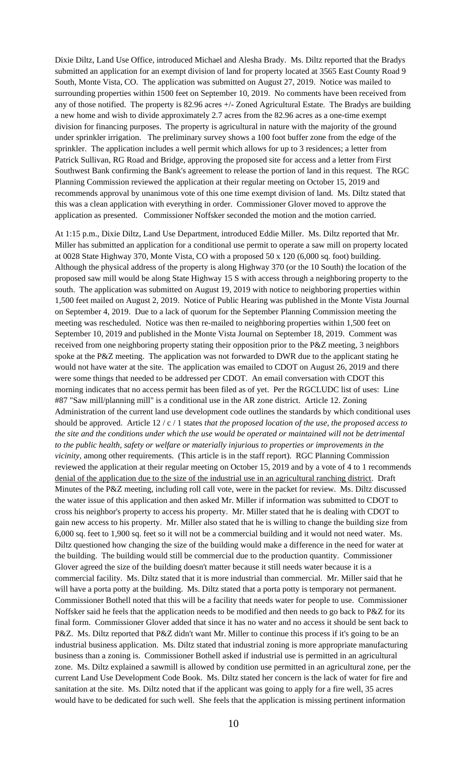Dixie Diltz, Land Use Office, introduced Michael and Alesha Brady. Ms. Diltz reported that the Bradys submitted an application for an exempt division of land for property located at 3565 East County Road 9 South, Monte Vista, CO. The application was submitted on August 27, 2019. Notice was mailed to surrounding properties within 1500 feet on September 10, 2019. No comments have been received from any of those notified. The property is 82.96 acres +/- Zoned Agricultural Estate. The Bradys are building a new home and wish to divide approximately 2.7 acres from the 82.96 acres as a one-time exempt division for financing purposes. The property is agricultural in nature with the majority of the ground under sprinkler irrigation. The preliminary survey shows a 100 foot buffer zone from the edge of the sprinkler. The application includes a well permit which allows for up to 3 residences; a letter from Patrick Sullivan, RG Road and Bridge, approving the proposed site for access and a letter from First Southwest Bank confirming the Bank's agreement to release the portion of land in this request. The RGC Planning Commission reviewed the application at their regular meeting on October 15, 2019 and recommends approval by unanimous vote of this one time exempt division of land. Ms. Diltz stated that this was a clean application with everything in order. Commissioner Glover moved to approve the application as presented. Commissioner Noffsker seconded the motion and the motion carried.

At 1:15 p.m., Dixie Diltz, Land Use Department, introduced Eddie Miller. Ms. Diltz reported that Mr. Miller has submitted an application for a conditional use permit to operate a saw mill on property located at 0028 State Highway 370, Monte Vista, CO with a proposed 50 x 120 (6,000 sq. foot) building. Although the physical address of the property is along Highway 370 (or the 10 South) the location of the proposed saw mill would be along State Highway 15 S with access through a neighboring property to the south. The application was submitted on August 19, 2019 with notice to neighboring properties within 1,500 feet mailed on August 2, 2019. Notice of Public Hearing was published in the Monte Vista Journal on September 4, 2019. Due to a lack of quorum for the September Planning Commission meeting the meeting was rescheduled. Notice was then re-mailed to neighboring properties within 1,500 feet on September 10, 2019 and published in the Monte Vista Journal on September 18, 2019. Comment was received from one neighboring property stating their opposition prior to the P&Z meeting, 3 neighbors spoke at the P&Z meeting. The application was not forwarded to DWR due to the applicant stating he would not have water at the site. The application was emailed to CDOT on August 26, 2019 and there were some things that needed to be addressed per CDOT. An email conversation with CDOT this morning indicates that no access permit has been filed as of yet. Per the RGCLUDC list of uses: Line #87 "Saw mill/planning mill" is a conditional use in the AR zone district. Article 12. Zoning Administration of the current land use development code outlines the standards by which conditional uses should be approved. Article 12 / c / 1 states *that the proposed location of the use, the proposed access to the site and the conditions under which the use would be operated or maintained will not be detrimental to the public health, safety or welfare or materially injurious to properties or improvements in the vicinity,* among other requirements. (This article is in the staff report). RGC Planning Commission reviewed the application at their regular meeting on October 15, 2019 and by a vote of 4 to 1 recommends denial of the application due to the size of the industrial use in an agricultural ranching district. Draft Minutes of the P&Z meeting, including roll call vote, were in the packet for review. Ms. Diltz discussed the water issue of this application and then asked Mr. Miller if information was submitted to CDOT to cross his neighbor's property to access his property. Mr. Miller stated that he is dealing with CDOT to gain new access to his property. Mr. Miller also stated that he is willing to change the building size from 6,000 sq. feet to 1,900 sq. feet so it will not be a commercial building and it would not need water. Ms. Diltz questioned how changing the size of the building would make a difference in the need for water at the building. The building would still be commercial due to the production quantity. Commissioner Glover agreed the size of the building doesn't matter because it still needs water because it is a commercial facility. Ms. Diltz stated that it is more industrial than commercial. Mr. Miller said that he will have a porta potty at the building. Ms. Diltz stated that a porta potty is temporary not permanent. Commissioner Bothell noted that this will be a facility that needs water for people to use. Commissioner Noffsker said he feels that the application needs to be modified and then needs to go back to P&Z for its final form. Commissioner Glover added that since it has no water and no access it should be sent back to P&Z. Ms. Diltz reported that P&Z didn't want Mr. Miller to continue this process if it's going to be an industrial business application. Ms. Diltz stated that industrial zoning is more appropriate manufacturing business than a zoning is. Commissioner Bothell asked if industrial use is permitted in an agricultural zone. Ms. Diltz explained a sawmill is allowed by condition use permitted in an agricultural zone, per the current Land Use Development Code Book. Ms. Diltz stated her concern is the lack of water for fire and sanitation at the site. Ms. Diltz noted that if the applicant was going to apply for a fire well, 35 acres would have to be dedicated for such well. She feels that the application is missing pertinent information